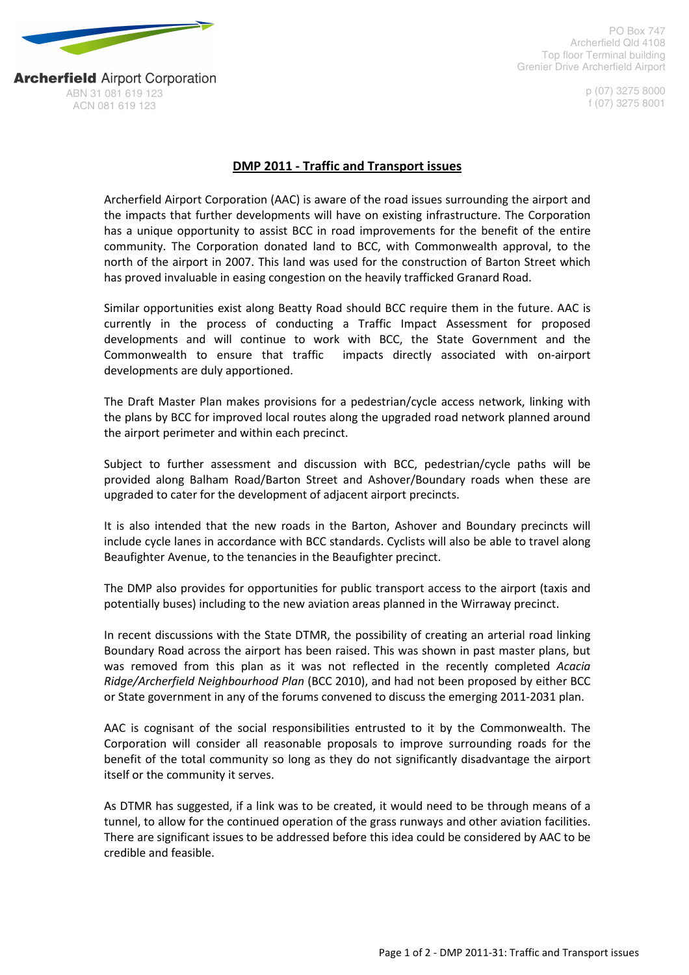

PO Box 747 Archerfield Qld 4108 Top floor Terminal building Grenier Drive Archerfield Airport

> p (07) 3275 8000 f (07) 3275 8001

**Archerfield Airport Corporation** ABN 31 081 619 123 ACN 081 619 123

## DMP 2011 - Traffic and Transport issues

Archerfield Airport Corporation (AAC) is aware of the road issues surrounding the airport and the impacts that further developments will have on existing infrastructure. The Corporation has a unique opportunity to assist BCC in road improvements for the benefit of the entire community. The Corporation donated land to BCC, with Commonwealth approval, to the north of the airport in 2007. This land was used for the construction of Barton Street which has proved invaluable in easing congestion on the heavily trafficked Granard Road.

Similar opportunities exist along Beatty Road should BCC require them in the future. AAC is currently in the process of conducting a Traffic Impact Assessment for proposed developments and will continue to work with BCC, the State Government and the Commonwealth to ensure that traffic impacts directly associated with on-airport developments are duly apportioned.

The Draft Master Plan makes provisions for a pedestrian/cycle access network, linking with the plans by BCC for improved local routes along the upgraded road network planned around the airport perimeter and within each precinct.

Subject to further assessment and discussion with BCC, pedestrian/cycle paths will be provided along Balham Road/Barton Street and Ashover/Boundary roads when these are upgraded to cater for the development of adjacent airport precincts.

It is also intended that the new roads in the Barton, Ashover and Boundary precincts will include cycle lanes in accordance with BCC standards. Cyclists will also be able to travel along Beaufighter Avenue, to the tenancies in the Beaufighter precinct.

The DMP also provides for opportunities for public transport access to the airport (taxis and potentially buses) including to the new aviation areas planned in the Wirraway precinct.

In recent discussions with the State DTMR, the possibility of creating an arterial road linking Boundary Road across the airport has been raised. This was shown in past master plans, but was removed from this plan as it was not reflected in the recently completed Acacia Ridge/Archerfield Neighbourhood Plan (BCC 2010), and had not been proposed by either BCC or State government in any of the forums convened to discuss the emerging 2011-2031 plan.

AAC is cognisant of the social responsibilities entrusted to it by the Commonwealth. The Corporation will consider all reasonable proposals to improve surrounding roads for the benefit of the total community so long as they do not significantly disadvantage the airport itself or the community it serves.

As DTMR has suggested, if a link was to be created, it would need to be through means of a tunnel, to allow for the continued operation of the grass runways and other aviation facilities. There are significant issues to be addressed before this idea could be considered by AAC to be credible and feasible.